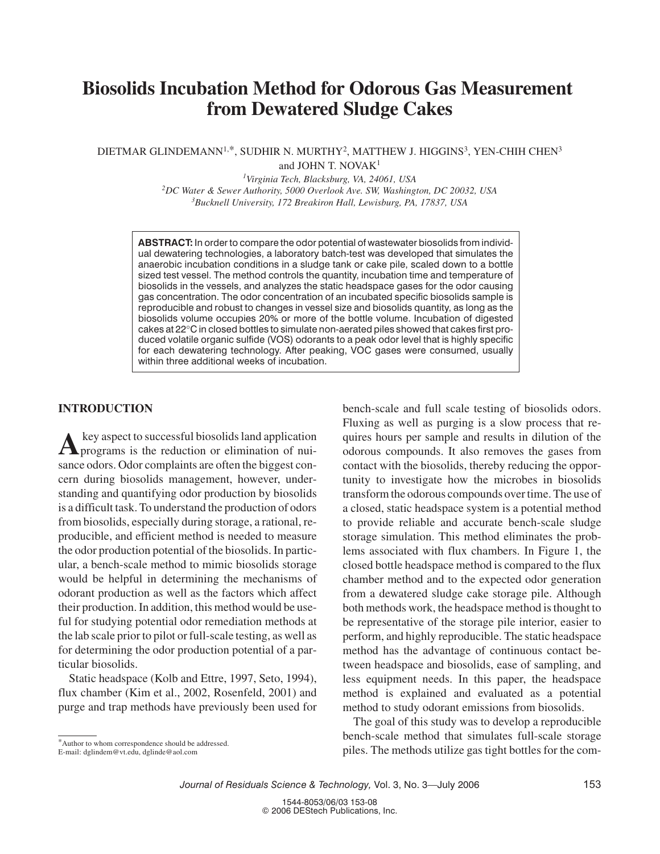# **Biosolids Incubation Method for Odorous Gas Measurement from Dewatered Sludge Cakes**

DIETMAR GLINDEMANN<sup>1,\*</sup>, SUDHIR N. MURTHY<sup>2</sup>, MATTHEW J. HIGGINS<sup>3</sup>, YEN-CHIH CHEN<sup>3</sup> and JOHN T. NOVA $K<sup>1</sup>$ 

> *1 Virginia Tech, Blacksburg, VA, 24061, USA 2 DC Water & Sewer Authority, 5000 Overlook Ave. SW, Washington, DC 20032, USA 3 Bucknell University, 172 Breakiron Hall, Lewisburg, PA, 17837, USA*

**ABSTRACT:** In order to compare the odor potential of wastewater biosolids from individual dewatering technologies, a laboratory batch-test was developed that simulates the anaerobic incubation conditions in a sludge tank or cake pile, scaled down to a bottle sized test vessel. The method controls the quantity, incubation time and temperature of biosolids in the vessels, and analyzes the static headspace gases for the odor causing gas concentration. The odor concentration of an incubated specific biosolids sample is reproducible and robust to changes in vessel size and biosolids quantity, as long as the biosolids volume occupies 20% or more of the bottle volume. Incubation of digested cakes at 22°C in closed bottles to simulate non-aerated piles showed that cakes first produced volatile organic sulfide (VOS) odorants to a peak odor level that is highly specific for each dewatering technology. After peaking, VOC gases were consumed, usually within three additional weeks of incubation.

# **INTRODUCTION**

A key aspect to successful biosolids land application<br>programs is the reduction or elimination of nuisance odors. Odor complaints are often the biggest concern during biosolids management, however, understanding and quantifying odor production by biosolids is a difficult task. To understand the production of odors from biosolids, especially during storage, a rational, reproducible, and efficient method is needed to measure the odor production potential of the biosolids. In particular, a bench-scale method to mimic biosolids storage would be helpful in determining the mechanisms of odorant production as well as the factors which affect their production. In addition, this method would be useful for studying potential odor remediation methods at the lab scale prior to pilot or full-scale testing, as well as for determining the odor production potential of a particular biosolids.

Static headspace (Kolb and Ettre, 1997, Seto, 1994), flux chamber (Kim et al., 2002, Rosenfeld, 2001) and purge and trap methods have previously been used for bench-scale and full scale testing of biosolids odors. Fluxing as well as purging is a slow process that requires hours per sample and results in dilution of the odorous compounds. It also removes the gases from contact with the biosolids, thereby reducing the opportunity to investigate how the microbes in biosolids transform the odorous compounds over time. The use of a closed, static headspace system is a potential method to provide reliable and accurate bench-scale sludge storage simulation. This method eliminates the problems associated with flux chambers. In Figure 1, the closed bottle headspace method is compared to the flux chamber method and to the expected odor generation from a dewatered sludge cake storage pile. Although both methods work, the headspace method is thought to be representative of the storage pile interior, easier to perform, and highly reproducible. The static headspace method has the advantage of continuous contact between headspace and biosolids, ease of sampling, and less equipment needs. In this paper, the headspace method is explained and evaluated as a potential method to study odorant emissions from biosolids.

The goal of this study was to develop a reproducible bench-scale method that simulates full-scale storage piles. The methods utilize gas tight bottles for the com-

<sup>\*</sup>Author to whom correspondence should be addressed.

E-mail: dglindem@vt.edu, dglinde@aol.com

*Journal of Residuals Science & Technology, Vol. 3, No. 3—July 2006* 153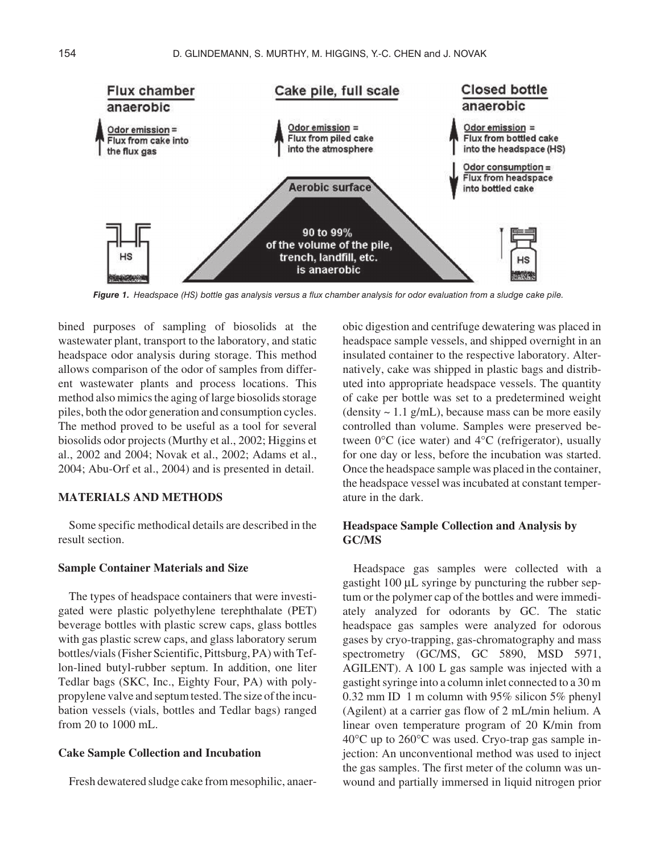

*Figure 1. Headspace (HS) bottle gas analysis versus a flux chamber analysis for odor evaluation from a sludge cake pile.*

bined purposes of sampling of biosolids at the wastewater plant, transport to the laboratory, and static headspace odor analysis during storage. This method allows comparison of the odor of samples from different wastewater plants and process locations. This method also mimics the aging of large biosolids storage piles, both the odor generation and consumption cycles. The method proved to be useful as a tool for several biosolids odor projects (Murthy et al., 2002; Higgins et al., 2002 and 2004; Novak et al., 2002; Adams et al., 2004; Abu-Orf et al., 2004) and is presented in detail.

## **MATERIALS AND METHODS**

Some specific methodical details are described in the result section.

## **Sample Container Materials and Size**

The types of headspace containers that were investigated were plastic polyethylene terephthalate (PET) beverage bottles with plastic screw caps, glass bottles with gas plastic screw caps, and glass laboratory serum bottles/vials (Fisher Scientific, Pittsburg, PA) with Teflon-lined butyl-rubber septum. In addition, one liter Tedlar bags (SKC, Inc., Eighty Four, PA) with polypropylene valve and septum tested. The size of the incubation vessels (vials, bottles and Tedlar bags) ranged from 20 to 1000 mL.

## **Cake Sample Collection and Incubation**

Fresh dewatered sludge cake from mesophilic, anaer-

obic digestion and centrifuge dewatering was placed in headspace sample vessels, and shipped overnight in an insulated container to the respective laboratory. Alternatively, cake was shipped in plastic bags and distributed into appropriate headspace vessels. The quantity of cake per bottle was set to a predetermined weight  $(density \sim 1.1 g/mL)$ , because mass can be more easily controlled than volume. Samples were preserved between 0°C (ice water) and 4°C (refrigerator), usually for one day or less, before the incubation was started. Once the headspace sample was placed in the container, the headspace vessel was incubated at constant temperature in the dark.

# **Headspace Sample Collection and Analysis by GC/MS**

Headspace gas samples were collected with a gastight 100 µL syringe by puncturing the rubber septum or the polymer cap of the bottles and were immediately analyzed for odorants by GC. The static headspace gas samples were analyzed for odorous gases by cryo-trapping, gas-chromatography and mass spectrometry (GC/MS, GC 5890, MSD 5971, AGILENT). A 100 L gas sample was injected with a gastight syringe into a column inlet connected to a 30 m 0.32 mm ID 1 m column with 95% silicon 5% phenyl (Agilent) at a carrier gas flow of 2 mL/min helium. A linear oven temperature program of 20 K/min from 40°C up to 260°C was used. Cryo-trap gas sample injection: An unconventional method was used to inject the gas samples. The first meter of the column was unwound and partially immersed in liquid nitrogen prior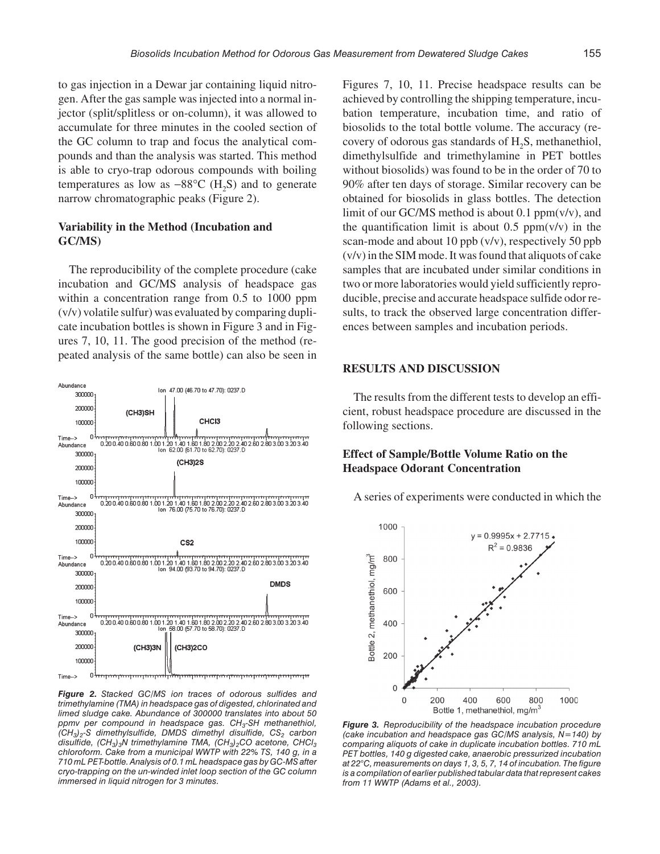to gas injection in a Dewar jar containing liquid nitrogen. After the gas sample was injected into a normal injector (split/splitless or on-column), it was allowed to accumulate for three minutes in the cooled section of the GC column to trap and focus the analytical compounds and than the analysis was started. This method is able to cryo-trap odorous compounds with boiling temperatures as low as  $-88^{\circ}$ C (H<sub>2</sub>S) and to generate narrow chromatographic peaks (Figure 2).

## **Variability in the Method (Incubation and GC/MS)**

The reproducibility of the complete procedure (cake incubation and GC/MS analysis of headspace gas within a concentration range from 0.5 to 1000 ppm (v/v) volatile sulfur) was evaluated by comparing duplicate incubation bottles is shown in Figure 3 and in Figures 7, 10, 11. The good precision of the method (repeated analysis of the same bottle) can also be seen in



*Figure 2. Stacked GC/MS ion traces of odorous sulfides and trimethylamine (TMA) in headspace gas of digested, chlorinated and limed sludge cake. Abundance of 300000 translates into about 50 ppmv per compound in headspace gas. CH3-SH methanethiol, (CH3)2-S dimethylsulfide, DMDS dimethyl disulfide, CS2 carbon disulfide, (CH<sub>3</sub>)<sub>3</sub>N trimethylamine TMA, (CH<sub>3</sub>)<sub>2</sub>CO acetone, CHCl<sub>3</sub> chloroform. Cake from a municipal WWTP with 22% TS, 140 g, in a 710 mL PET-bottle. Analysis of 0.1 mL headspace gas by GC-MS after cryo-trapping on the un-winded inlet loop section of the GC column immersed in liquid nitrogen for 3 minutes.*

Figures 7, 10, 11. Precise headspace results can be achieved by controlling the shipping temperature, incubation temperature, incubation time, and ratio of biosolids to the total bottle volume. The accuracy (recovery of odorous gas standards of  $H_2S$ , methanethiol, dimethylsulfide and trimethylamine in PET bottles without biosolids) was found to be in the order of 70 to 90% after ten days of storage. Similar recovery can be obtained for biosolids in glass bottles. The detection limit of our GC/MS method is about 0.1  $ppm(v/v)$ , and the quantification limit is about 0.5  $ppm(v/v)$  in the scan-mode and about 10 ppb (v/v), respectively 50 ppb (v/v) in the SIM mode. It was found that aliquots of cake samples that are incubated under similar conditions in two or more laboratories would yield sufficiently reproducible, precise and accurate headspace sulfide odor results, to track the observed large concentration differences between samples and incubation periods.

# **RESULTS AND DISCUSSION**

The results from the different tests to develop an efficient, robust headspace procedure are discussed in the following sections.

# **Effect of Sample/Bottle Volume Ratio on the Headspace Odorant Concentration**

A series of experiments were conducted in which the



*Figure 3. Reproducibility of the headspace incubation procedure (cake incubation and headspace gas GC/MS analysis, N=140) by comparing aliquots of cake in duplicate incubation bottles. 710 mL PET bottles, 140 g digested cake, anaerobic pressurized incubation at 22°C, measurements on days 1, 3, 5, 7, 14 of incubation. The figure is a compilation of earlier published tabular data that represent cakes from 11 WWTP (Adams et al., 2003).*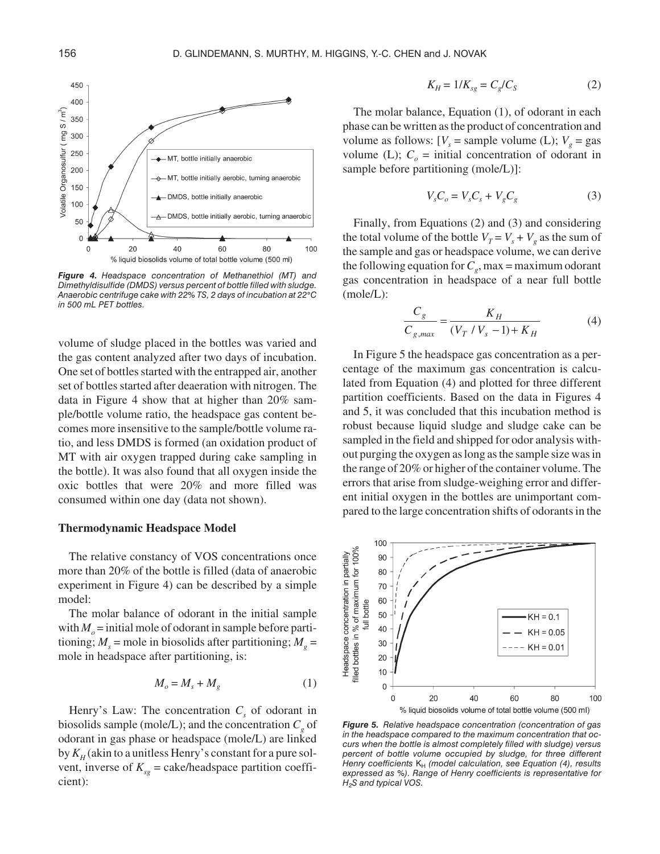

*Figure 4. Headspace concentration of Methanethiol (MT) and Dimethyldisulfide (DMDS) versus percent of bottle filled with sludge. Anaerobic centrifuge cake with 22% TS, 2 days of incubation at 22 C in 500 mL PET bottles.*

volume of sludge placed in the bottles was varied and the gas content analyzed after two days of incubation. One set of bottles started with the entrapped air, another set of bottles started after deaeration with nitrogen. The data in Figure 4 show that at higher than 20% sample/bottle volume ratio, the headspace gas content becomes more insensitive to the sample/bottle volume ratio, and less DMDS is formed (an oxidation product of MT with air oxygen trapped during cake sampling in the bottle). It was also found that all oxygen inside the oxic bottles that were 20% and more filled was consumed within one day (data not shown).

#### **Thermodynamic Headspace Model**

The relative constancy of VOS concentrations once more than 20% of the bottle is filled (data of anaerobic experiment in Figure 4) can be described by a simple model:

The molar balance of odorant in the initial sample with  $M_0$  = initial mole of odorant in sample before partitioning;  $M<sub>s</sub>$  = mole in biosolids after partitioning;  $M<sub>s</sub>$  = mole in headspace after partitioning, is:

$$
M_o = M_s + M_g \tag{1}
$$

Henry's Law: The concentration  $C_s$  of odorant in biosolids sample (mole/L); and the concentration  $C_g$  of odorant in gas phase or headspace (mole/L) are linked by  $K_H$  (akin to a unitless Henry's constant for a pure solvent, inverse of  $K_{sg}$  = cake/headspace partition coefficient):

$$
K_H = 1/K_{sg} = C_g/C_S \tag{2}
$$

The molar balance, Equation (1), of odorant in each phase can be written as the product of concentration and volume as follows:  $[V_s = \text{sample volume (L)}; V_g = \text{gas}]$ volume (L);  $C<sub>o</sub>$  = initial concentration of odorant in sample before partitioning (mole/L)]:

$$
V_s C_o = V_s C_s + V_g C_g \tag{3}
$$

Finally, from Equations (2) and (3) and considering the total volume of the bottle  $V_T = V_s + V_g$  as the sum of the sample and gas or headspace volume, we can derive the following equation for  $C_g$ , max = maximum odorant gas concentration in headspace of a near full bottle (mole/L):

$$
\frac{C_g}{C_{g,max}} = \frac{K_H}{(V_T / V_s - 1) + K_H}
$$
(4)

In Figure 5 the headspace gas concentration as a percentage of the maximum gas concentration is calculated from Equation (4) and plotted for three different partition coefficients. Based on the data in Figures 4 and 5, it was concluded that this incubation method is robust because liquid sludge and sludge cake can be sampled in the field and shipped for odor analysis without purging the oxygen as long as the sample size was in the range of 20% or higher of the container volume. The errors that arise from sludge-weighing error and different initial oxygen in the bottles are unimportant compared to the large concentration shifts of odorants in the



*Figure 5. Relative headspace concentration (concentration of gas in the headspace compared to the maximum concentration that occurs when the bottle is almost completely filled with sludge) versus percent of bottle volume occupied by sludge, for three different Henry coefficients* K<sub>H</sub> (model calculation, see Equation (4), results *expressed as %). Range of Henry coefficients is representative for H2S and typical VOS.*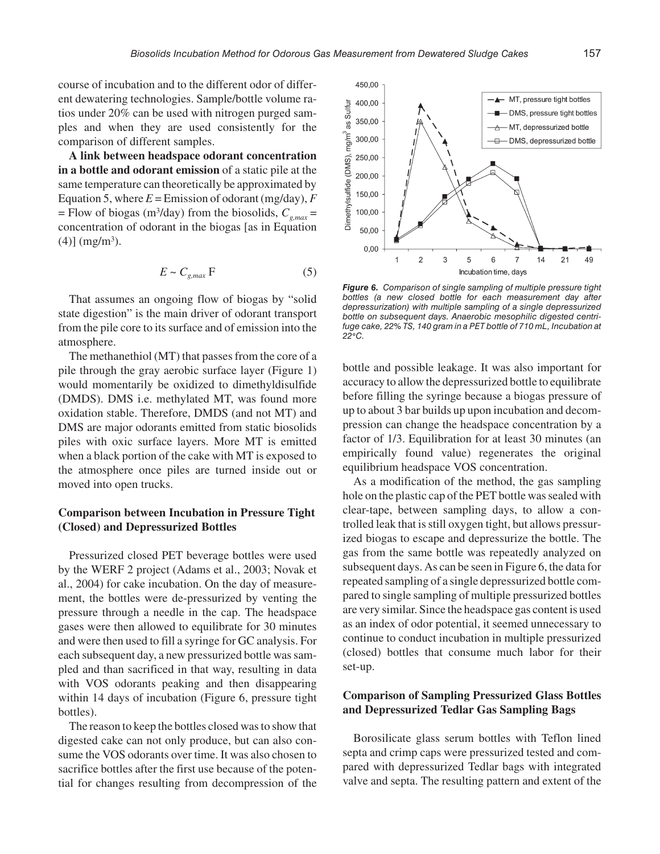course of incubation and to the different odor of different dewatering technologies. Sample/bottle volume ratios under 20% can be used with nitrogen purged samples and when they are used consistently for the comparison of different samples.

**A link between headspace odorant concentration in a bottle and odorant emission** of a static pile at the same temperature can theoretically be approximated by Equation 5, where  $E =$  Emission of odorant (mg/day),  $F$  $=$  Flow of biogas (m<sup>3</sup>/day) from the biosolids,  $C_{g,max}$  = concentration of odorant in the biogas [as in Equation  $(4)$ ] (mg/m<sup>3</sup>).

$$
E \sim C_{g,max} \, \mathrm{F} \tag{5}
$$

That assumes an ongoing flow of biogas by "solid state digestion" is the main driver of odorant transport from the pile core to its surface and of emission into the atmosphere.

The methanethiol (MT) that passes from the core of a pile through the gray aerobic surface layer (Figure 1) would momentarily be oxidized to dimethyldisulfide (DMDS). DMS i.e. methylated MT, was found more oxidation stable. Therefore, DMDS (and not MT) and DMS are major odorants emitted from static biosolids piles with oxic surface layers. More MT is emitted when a black portion of the cake with MT is exposed to the atmosphere once piles are turned inside out or moved into open trucks.

# **Comparison between Incubation in Pressure Tight (Closed) and Depressurized Bottles**

Pressurized closed PET beverage bottles were used by the WERF 2 project (Adams et al., 2003; Novak et al., 2004) for cake incubation. On the day of measurement, the bottles were de-pressurized by venting the pressure through a needle in the cap. The headspace gases were then allowed to equilibrate for 30 minutes and were then used to fill a syringe for GC analysis. For each subsequent day, a new pressurized bottle was sampled and than sacrificed in that way, resulting in data with VOS odorants peaking and then disappearing within 14 days of incubation (Figure 6, pressure tight bottles).

The reason to keep the bottles closed was to show that digested cake can not only produce, but can also consume the VOS odorants over time. It was also chosen to sacrifice bottles after the first use because of the potential for changes resulting from decompression of the



*Figure 6. Comparison of single sampling of multiple pressure tight bottles (a new closed bottle for each measurement day after depressurization) with multiple sampling of a single depressurized bottle on subsequent days. Anaerobic mesophilic digested centrifuge cake, 22% TS, 140 gram in a PET bottle of 710 mL, Incubation at 22 C.*

bottle and possible leakage. It was also important for accuracy to allow the depressurized bottle to equilibrate before filling the syringe because a biogas pressure of up to about 3 bar builds up upon incubation and decompression can change the headspace concentration by a factor of 1/3. Equilibration for at least 30 minutes (an empirically found value) regenerates the original equilibrium headspace VOS concentration.

As a modification of the method, the gas sampling hole on the plastic cap of the PET bottle was sealed with clear-tape, between sampling days, to allow a controlled leak that is still oxygen tight, but allows pressurized biogas to escape and depressurize the bottle. The gas from the same bottle was repeatedly analyzed on subsequent days. As can be seen in Figure 6, the data for repeated sampling of a single depressurized bottle compared to single sampling of multiple pressurized bottles are very similar. Since the headspace gas content is used as an index of odor potential, it seemed unnecessary to continue to conduct incubation in multiple pressurized (closed) bottles that consume much labor for their set-up.

# **Comparison of Sampling Pressurized Glass Bottles and Depressurized Tedlar Gas Sampling Bags**

Borosilicate glass serum bottles with Teflon lined septa and crimp caps were pressurized tested and compared with depressurized Tedlar bags with integrated valve and septa. The resulting pattern and extent of the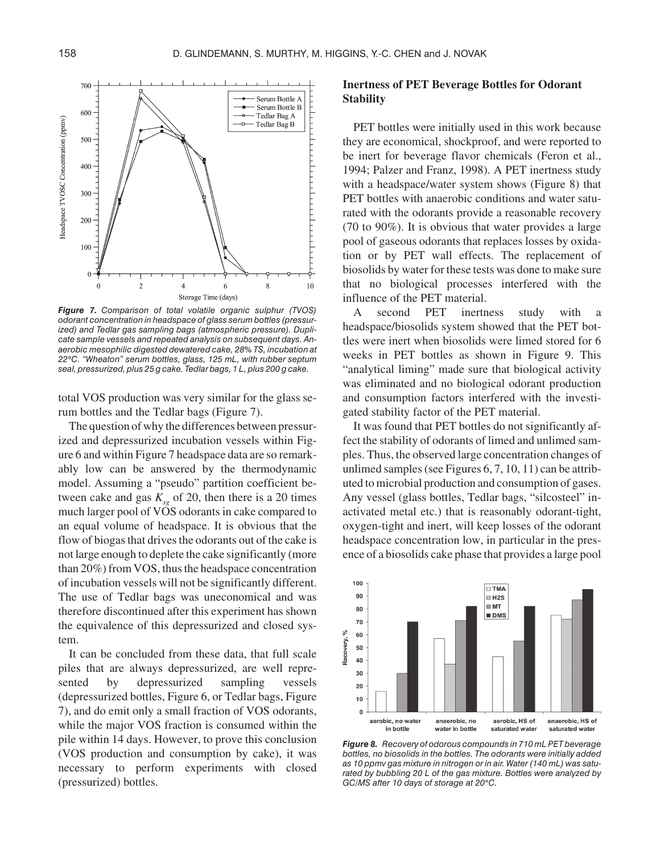

*Figure 7. Comparison of total volatile organic sulphur (TVOS) odorant concentration in headspace of glass serum bottles (pressurized) and Tedlar gas sampling bags (atmospheric pressure). Duplicate sample vessels and repeated analysis on subsequent days. Anaerobic mesophilic digested dewatered cake, 28% TS, incubation at 22 C. "Wheaton" serum bottles, glass, 125 mL, with rubber septum seal, pressurized, plus 25 g cake. Tedlar bags, 1 L, plus 200 g cake.*

total VOS production was very similar for the glass serum bottles and the Tedlar bags (Figure 7).

The question of why the differences between pressurized and depressurized incubation vessels within Figure 6 and within Figure 7 headspace data are so remarkably low can be answered by the thermodynamic model. Assuming a "pseudo" partition coefficient between cake and gas  $K_{sg}$  of 20, then there is a 20 times much larger pool of VOS odorants in cake compared to an equal volume of headspace. It is obvious that the flow of biogas that drives the odorants out of the cake is not large enough to deplete the cake significantly (more than 20%) from VOS, thus the headspace concentration of incubation vessels will not be significantly different. The use of Tedlar bags was uneconomical and was therefore discontinued after this experiment has shown the equivalence of this depressurized and closed system.

It can be concluded from these data, that full scale piles that are always depressurized, are well represented by depressurized sampling vessels (depressurized bottles, Figure 6, or Tedlar bags, Figure 7), and do emit only a small fraction of VOS odorants, while the major VOS fraction is consumed within the pile within 14 days. However, to prove this conclusion (VOS production and consumption by cake), it was necessary to perform experiments with closed (pressurized) bottles.

## **Inertness of PET Beverage Bottles for Odorant Stability**

PET bottles were initially used in this work because they are economical, shockproof, and were reported to be inert for beverage flavor chemicals (Feron et al., 1994; Palzer and Franz, 1998). A PET inertness study with a headspace/water system shows (Figure 8) that PET bottles with anaerobic conditions and water saturated with the odorants provide a reasonable recovery (70 to 90%). It is obvious that water provides a large pool of gaseous odorants that replaces losses by oxidation or by PET wall effects. The replacement of biosolids by water for these tests was done to make sure that no biological processes interfered with the influence of the PET material.

A second PET inertness study with headspace/biosolids system showed that the PET bottles were inert when biosolids were limed stored for 6 weeks in PET bottles as shown in Figure 9. This "analytical liming" made sure that biological activity was eliminated and no biological odorant production and consumption factors interfered with the investigated stability factor of the PET material.

It was found that PET bottles do not significantly affect the stability of odorants of limed and unlimed samples. Thus, the observed large concentration changes of unlimed samples (see Figures 6, 7, 10, 11) can be attributed to microbial production and consumption of gases. Any vessel (glass bottles, Tedlar bags, "silcosteel" inactivated metal etc.) that is reasonably odorant-tight, oxygen-tight and inert, will keep losses of the odorant headspace concentration low, in particular in the presence of a biosolids cake phase that provides a large pool



*Figure 8. Recovery of odorous compounds in 710 mL PET beverage bottles, no biosolids in the bottles. The odorants were initially added as 10 ppmv gas mixture in nitrogen or in air. Water (140 mL) was saturated by bubbling 20 L of the gas mixture. Bottles were analyzed by GC/MS after 10 days of storage at 20 C.*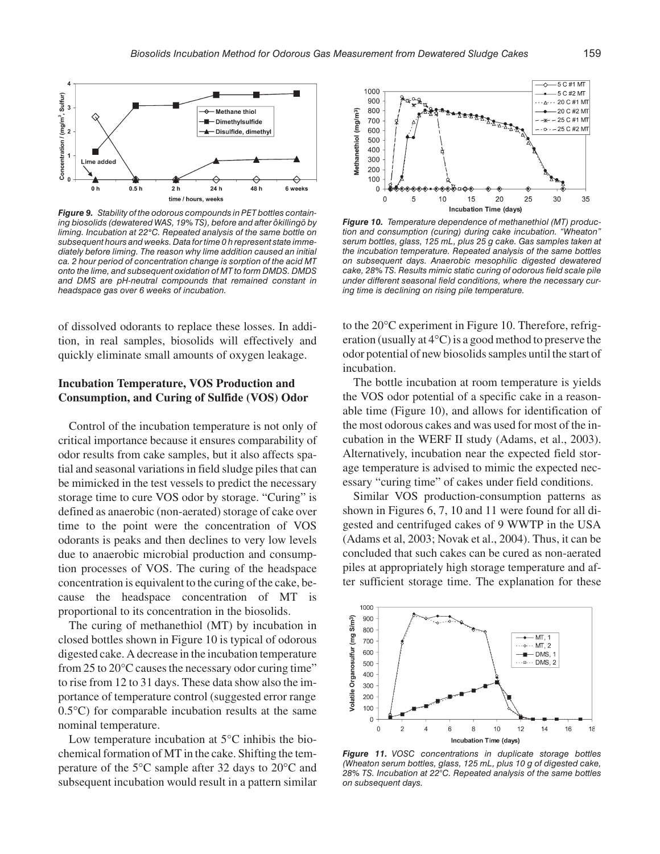

*Figure 9. Stability of the odorous compounds in PET bottles containing biosolids (dewatered WAS, 19% TS), before and after ôkillingö by liming. Incubation at 22 C. Repeated analysis of the same bottle on subsequent hours and weeks. Data for time 0 h represent state immediately before liming. The reason why lime addition caused an initial ca. 2 hour period of concentration change is sorption of the acid MT onto the lime, and subsequent oxidation of MT to form DMDS. DMDS and DMS are pH-neutral compounds that remained constant in headspace gas over 6 weeks of incubation.*

of dissolved odorants to replace these losses. In addition, in real samples, biosolids will effectively and quickly eliminate small amounts of oxygen leakage.

## **Incubation Temperature, VOS Production and Consumption, and Curing of Sulfide (VOS) Odor**

Control of the incubation temperature is not only of critical importance because it ensures comparability of odor results from cake samples, but it also affects spatial and seasonal variations in field sludge piles that can be mimicked in the test vessels to predict the necessary storage time to cure VOS odor by storage. "Curing" is defined as anaerobic (non-aerated) storage of cake over time to the point were the concentration of VOS odorants is peaks and then declines to very low levels due to anaerobic microbial production and consumption processes of VOS. The curing of the headspace concentration is equivalent to the curing of the cake, because the headspace concentration of MT is proportional to its concentration in the biosolids.

The curing of methanethiol (MT) by incubation in closed bottles shown in Figure 10 is typical of odorous digested cake. A decrease in the incubation temperature from 25 to 20°C causes the necessary odor curing time" to rise from 12 to 31 days. These data show also the importance of temperature control (suggested error range 0.5°C) for comparable incubation results at the same nominal temperature.

Low temperature incubation at 5°C inhibis the biochemical formation of MT in the cake. Shifting the temperature of the 5°C sample after 32 days to 20°C and subsequent incubation would result in a pattern similar



*Figure 10. Temperature dependence of methanethiol (MT) production and consumption (curing) during cake incubation. "Wheaton" serum bottles, glass, 125 mL, plus 25 g cake. Gas samples taken at the incubation temperature. Repeated analysis of the same bottles on subsequent days. Anaerobic mesophilic digested dewatered cake, 28% TS. Results mimic static curing of odorous field scale pile under different seasonal field conditions, where the necessary curing time is declining on rising pile temperature.*

to the 20°C experiment in Figure 10. Therefore, refrigeration (usually at 4°C) is a good method to preserve the odor potential of new biosolids samples until the start of incubation.

The bottle incubation at room temperature is yields the VOS odor potential of a specific cake in a reasonable time (Figure 10), and allows for identification of the most odorous cakes and was used for most of the incubation in the WERF II study (Adams, et al., 2003). Alternatively, incubation near the expected field storage temperature is advised to mimic the expected necessary "curing time" of cakes under field conditions.

Similar VOS production-consumption patterns as shown in Figures 6, 7, 10 and 11 were found for all digested and centrifuged cakes of 9 WWTP in the USA (Adams et al, 2003; Novak et al., 2004). Thus, it can be concluded that such cakes can be cured as non-aerated piles at appropriately high storage temperature and after sufficient storage time. The explanation for these



*Figure 11. VOSC concentrations in duplicate storage bottles (Wheaton serum bottles, glass, 125 mL, plus 10 g of digested cake, 28% TS. Incubation at 22°C. Repeated analysis of the same bottles on subsequent days.*